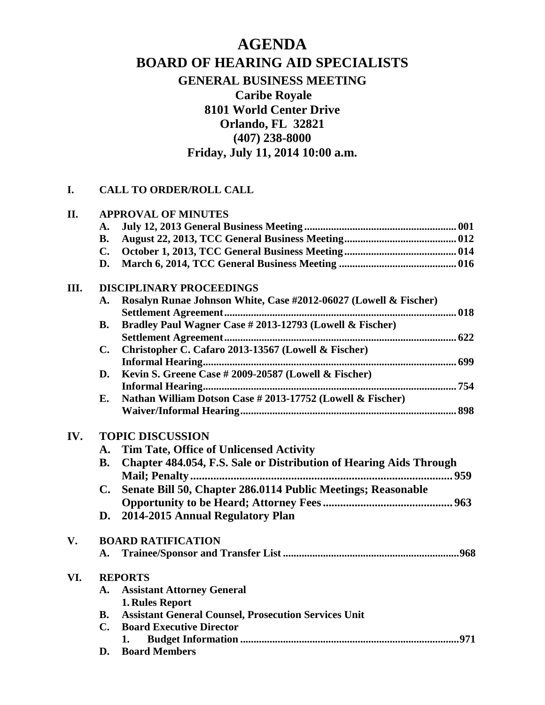## **AGENDA BOARD OF HEARING AID SPECIALISTS GENERAL BUSINESS MEETING Caribe Royale 8101 World Center Drive Orlando, FL 32821 (407) 238-8000 Friday, July 11, 2014 10:00 a.m.**

## **I. CALL TO ORDER/ROLL CALL**

| II. | <b>APPROVAL OF MINUTES</b>      |                                                                    |  |  |
|-----|---------------------------------|--------------------------------------------------------------------|--|--|
|     | $\mathbf{A}$ .                  |                                                                    |  |  |
|     | <b>B.</b>                       |                                                                    |  |  |
|     | $C_{\bullet}$                   |                                                                    |  |  |
|     | D.                              |                                                                    |  |  |
| Ш.  | <b>DISCIPLINARY PROCEEDINGS</b> |                                                                    |  |  |
|     | A.                              | Rosalyn Runae Johnson White, Case #2012-06027 (Lowell & Fischer)   |  |  |
|     |                                 |                                                                    |  |  |
|     | <b>B.</b>                       | Bradley Paul Wagner Case # 2013-12793 (Lowell & Fischer)           |  |  |
|     |                                 |                                                                    |  |  |
|     | $\mathbf{C}$ .                  | Christopher C. Cafaro 2013-13567 (Lowell & Fischer)                |  |  |
|     |                                 |                                                                    |  |  |
|     | D.                              | Kevin S. Greene Case # 2009-20587 (Lowell & Fischer)               |  |  |
|     |                                 |                                                                    |  |  |
|     | E.                              | Nathan William Dotson Case # 2013-17752 (Lowell & Fischer)         |  |  |
|     |                                 |                                                                    |  |  |
| IV. | <b>TOPIC DISCUSSION</b>         |                                                                    |  |  |
|     | A.                              | <b>Tim Tate, Office of Unlicensed Activity</b>                     |  |  |
|     | <b>B.</b>                       | Chapter 484.054, F.S. Sale or Distribution of Hearing Aids Through |  |  |
|     |                                 | Mail; Penalty                                                      |  |  |
|     |                                 |                                                                    |  |  |
|     | $\mathbf{C}$ .                  | Senate Bill 50, Chapter 286.0114 Public Meetings; Reasonable       |  |  |
|     |                                 |                                                                    |  |  |
|     | D.                              | 2014-2015 Annual Regulatory Plan                                   |  |  |
| V.  |                                 | <b>BOARD RATIFICATION</b>                                          |  |  |
|     | A.                              |                                                                    |  |  |
| VI. | <b>REPORTS</b>                  |                                                                    |  |  |
|     | <b>A.</b>                       | <b>Assistant Attorney General</b>                                  |  |  |
|     |                                 | 1. Rules Report                                                    |  |  |
|     | В.                              | <b>Assistant General Counsel, Prosecution Services Unit</b>        |  |  |
|     | $C_{\bullet}$                   | <b>Board Executive Director</b>                                    |  |  |
|     |                                 | 1.                                                                 |  |  |
|     | D.                              | <b>Board Members</b>                                               |  |  |